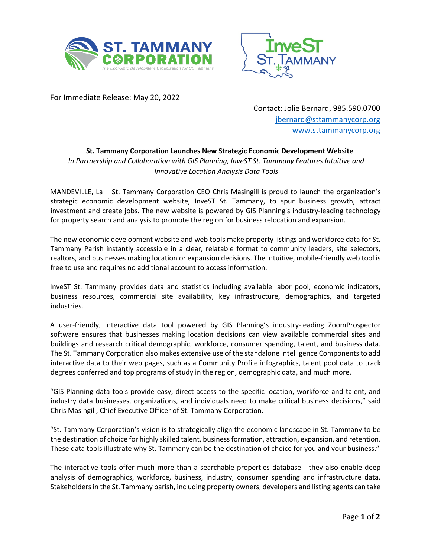



For Immediate Release: May 20, 2022

Contact: Jolie Bernard, 985.590.0700 jbernard@sttammanycorp.org www.sttammanycorp.org

## **St. Tammany Corporation Launches New Strategic Economic Development Website**

*In Partnership and Collaboration with GIS Planning, InveST St. Tammany Features Intuitive and Innovative Location Analysis Data Tools*

MANDEVILLE, La – St. Tammany Corporation CEO Chris Masingill is proud to launch the organization's strategic economic development website, InveST St. Tammany, to spur business growth, attract investment and create jobs. The new website is powered by GIS Planning's industry-leading technology for property search and analysis to promote the region for business relocation and expansion.

The new economic development website and web tools make property listings and workforce data for St. Tammany Parish instantly accessible in a clear, relatable format to community leaders, site selectors, realtors, and businesses making location or expansion decisions. The intuitive, mobile-friendly web tool is free to use and requires no additional account to access information.

InveST St. Tammany provides data and statistics including available labor pool, economic indicators, business resources, commercial site availability, key infrastructure, demographics, and targeted industries.

A user-friendly, interactive data tool powered by GIS Planning's industry-leading ZoomProspector software ensures that businesses making location decisions can view available commercial sites and buildings and research critical demographic, workforce, consumer spending, talent, and business data. The St. Tammany Corporation also makes extensive use of the standalone Intelligence Components to add interactive data to their web pages, such as a Community Profile infographics, talent pool data to track degrees conferred and top programs of study in the region, demographic data, and much more.

"GIS Planning data tools provide easy, direct access to the specific location, workforce and talent, and industry data businesses, organizations, and individuals need to make critical business decisions," said Chris Masingill, Chief Executive Officer of St. Tammany Corporation.

"St. Tammany Corporation's vision is to strategically align the economic landscape in St. Tammany to be the destination of choice for highly skilled talent, business formation, attraction, expansion, and retention. These data tools illustrate why St. Tammany can be the destination of choice for you and your business."

The interactive tools offer much more than a searchable properties database - they also enable deep analysis of demographics, workforce, business, industry, consumer spending and infrastructure data. Stakeholders in the St. Tammany parish, including property owners, developers and listing agents can take